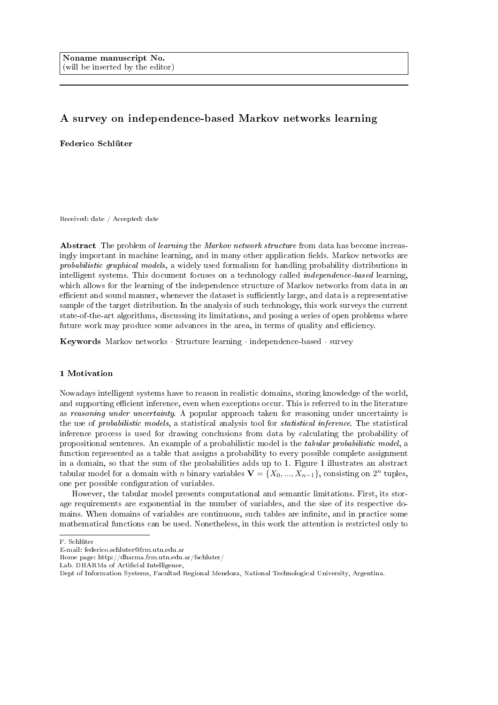# A survey on independence-based Markov networks learning

Federico Schlüter

Received: date / Accepted: date

Abstract The problem of *learning* the *Markov network structure* from data has become increasingly important in machine learning, and in many other application fields. Markov networks are probabilistic graphical models, a widely used formalism for handling probability distributions in intelligent systems. This document focuses on a technology called independence-based learning, which allows for the learning of the independence structure of Markov networks from data in an efficient and sound manner, whenever the dataset is sufficiently large, and data is a representative sample of the target distribution. In the analysis of such technology, this work surveys the current state-of-the-art algorithms, discussing its limitations, and posing a series of open problems where future work may produce some advances in the area, in terms of quality and efficiency.

Keywords Markov networks *·* Structure learning *·* independence-based *·* survey

## 1 Motivation

Nowadays intelligent systems have to reason in realistic domains, storing knowledge of the world, and supporting efficient inference, even when exceptions occur. This is referred to in the literature as reasoning under uncertainty. A popular approach taken for reasoning under uncertainty is the use of probabilistic models, a statistical analysis tool for statistical inference. The statistical inference process is used for drawing conclusions from data by calculating the probability of propositional sentences. An example of a probabilistic model is the tabular probabilistic model, a function represented as a table that assigns a probability to every possible complete assignment in a domain, so that the sum of the probabilities adds up to 1. Figure 1 illustrates an abstract tabular model for a domain with *n* binary variables  $\mathbf{V} = \{X_0, ..., X_{n-1}\}$ , consisting on  $2^n$  tuples, one per possible configuration of variables.

However, the tabular model presents computational and semantic limitations. First, its storage requirements are exponential in the number of variables, and the size of its respective domains. When domains of variables are continuous, such tables are infinite, and in practice some mathematical functions can be used. Nonetheless, in this work the attention is restricted only to

F. Schlüter

E-mail: federico.schluter@frm.utn.edu.ar

Home page: http://dharma.frm.utn.edu.ar/fschluter/

Lab. DHARMa of Artificial Intelligence,

Dept of Information Systems, Facultad Regional Mendoza, National Technological University, Argentina.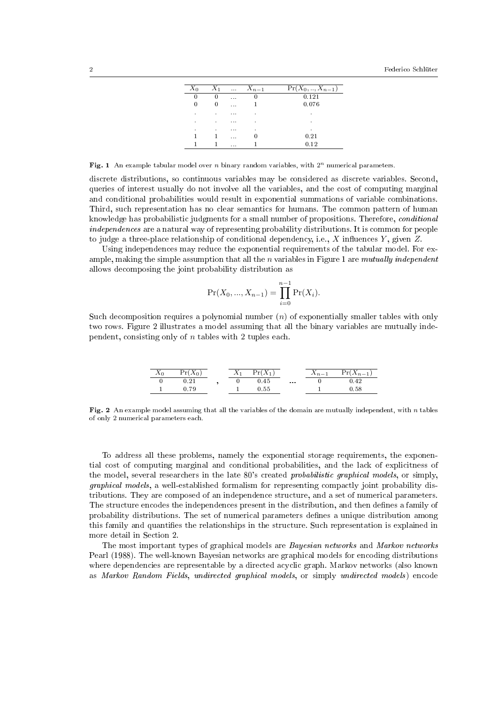|   |   | $\cdots$ | $X_{n-1}$ | $Pr(X_0, , X_{n-1})$ |
|---|---|----------|-----------|----------------------|
|   |   | $\cdots$ |           | 0.121                |
|   |   | $\cdots$ |           | 0.076                |
| ٠ | ٠ | $\cdots$ |           |                      |
| ٠ | ٠ | $\cdots$ | ٠         | ٠                    |
|   | ٠ | $\cdots$ |           |                      |
|   |   | $\cdots$ |           | 0.21                 |
|   |   | $\cdots$ |           | N 19                 |

Fig. 1 An example tabular model over *n* binary random variables, with  $2^n$  numerical parameters.

discrete distributions, so continuous variables may be considered as discrete variables. Second, queries of interest usually do not involve all the variables, and the cost of computing marginal and conditional probabilities would result in exponential summations of variable combinations. Third, such representation has no clear semantics for humans. The common pattern of human knowledge has probabilistic judgments for a small number of propositions. Therefore, conditional independences are a natural way of representing probability distributions. It is common for people to judge a three-place relationship of conditional dependency, i.e.,  $X$  influences  $Y$ , given  $Z$ .

Using independences may reduce the exponential requirements of the tabular model. For example, making the simple assumption that all the *n* variables in Figure 1 are mutually independent allows decomposing the joint probability distribution as

$$
\Pr(X_0, ..., X_{n-1}) = \prod_{i=0}^{n-1} \Pr(X_i).
$$

Such decomposition requires a polynomial number (*n*) of exponentially smaller tables with only two rows. Figure 2 illustrates a model assuming that all the binary variables are mutually independent, consisting only of *n* tables with 2 tuples each.

$$
\begin{array}{|c|cccc|} \hline X_0 & \text{Pr}(X_0) \\ \hline 0 & 0.21 & \\ 1 & 0.79 & \\ \hline \end{array} \hspace{0.25cm} , \hspace{0.25cm} \begin{array}{|c|cccc|} \hline X_1 & \text{Pr}(X_1) \\ \hline 0 & 0.45 & \\ 1 & 0.55 & \\ \hline \end{array} \hspace{0.25cm} ... \hspace{0.25cm} \begin{array}{|c|cccc|} \hline X_{n-1} & \text{Pr}(X_{n-1}) \\ \hline 0 & 0.42 \\ 1 & 0.58 \\ \hline \end{array}
$$

Fig. 2 An example model assuming that all the variables of the domain are mutually independent, with *n* tables of only 2 numerical parameters each.

To address all these problems, namely the exponential storage requirements, the exponential cost of computing marginal and conditional probabilities, and the lack of explicitness of the model, several researchers in the late 80's created *probabilistic graphical models*, or simply, graphical models, a well-established formalism for representing compactly joint probability distributions. They are composed of an independence structure, and a set of numerical parameters. The structure encodes the independences present in the distribution, and then defines a family of probability distributions. The set of numerical parameters denes a unique distribution among this family and quantifies the relationships in the structure. Such representation is explained in more detail in Section 2.

The most important types of graphical models are Bayesian networks and Markov networks Pearl (1988). The well-known Bayesian networks are graphical models for encoding distributions where dependencies are representable by a directed acyclic graph. Markov networks (also known as Markov Random Fields, undirected graphical models, or simply undirected models) encode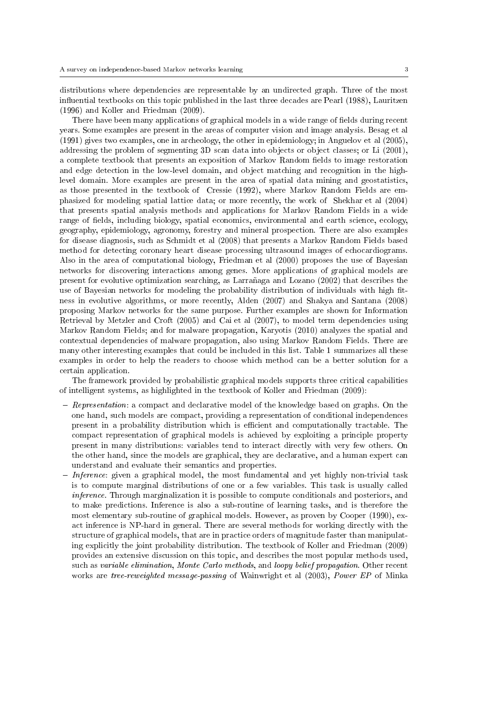distributions where dependencies are representable by an undirected graph. Three of the most influential textbooks on this topic published in the last three decades are Pearl (1988), Lauritzen (1996) and Koller and Friedman (2009).

There have been many applications of graphical models in a wide range of fields during recent years. Some examples are present in the areas of computer vision and image analysis. Besag et al (1991) gives two examples, one in archeology, the other in epidemiology; in Anguelov et al (2005), addressing the problem of segmenting 3D scan data into objects or object classes; or Li (2001), a complete textbook that presents an exposition of Markov Random fields to image restoration and edge detection in the low-level domain, and object matching and recognition in the highlevel domain. More examples are present in the area of spatial data mining and geostatistics, as those presented in the textbook of Cressie (1992), where Markov Random Fields are emphasized for modeling spatial lattice data; or more recently, the work of Shekhar et al (2004) that presents spatial analysis methods and applications for Markov Random Fields in a wide range of fields, including biology, spatial economics, environmental and earth science, ecology, geography, epidemiology, agronomy, forestry and mineral prospection. There are also examples for disease diagnosis, such as Schmidt et al (2008) that presents a Markov Random Fields based method for detecting coronary heart disease processing ultrasound images of echocardiograms. Also in the area of computational biology, Friedman et al (2000) proposes the use of Bayesian networks for discovering interactions among genes. More applications of graphical models are present for evolutive optimization searching, as Larrañaga and Lozano (2002) that describes the use of Bayesian networks for modeling the probability distribution of individuals with high fitness in evolutive algorithms, or more recently, Alden (2007) and Shakya and Santana (2008) proposing Markov networks for the same purpose. Further examples are shown for Information Retrieval by Metzler and Croft (2005) and Cai et al (2007), to model term dependencies using Markov Random Fields; and for malware propagation, Karyotis (2010) analyzes the spatial and contextual dependencies of malware propagation, also using Markov Random Fields. There are many other interesting examples that could be included in this list. Table 1 summarizes all these examples in order to help the readers to choose which method can be a better solution for a certain application.

The framework provided by probabilistic graphical models supports three critical capabilities of intelligent systems, as highlighted in the textbook of Koller and Friedman (2009):

- $R$ epresentation: a compact and declarative model of the knowledge based on graphs. On the one hand, such models are compact, providing a representation of conditional independences present in a probability distribution which is efficient and computationally tractable. The compact representation of graphical models is achieved by exploiting a principle property present in many distributions: variables tend to interact directly with very few others. On the other hand, since the models are graphical, they are declarative, and a human expert can understand and evaluate their semantics and properties.
- $-I$ nference: given a graphical model, the most fundamental and yet highly non-trivial task is to compute marginal distributions of one or a few variables. This task is usually called inference. Through marginalization it is possible to compute conditionals and posteriors, and to make predictions. Inference is also a sub-routine of learning tasks, and is therefore the most elementary sub-routine of graphical models. However, as proven by Cooper (1990), exact inference is NP-hard in general. There are several methods for working directly with the structure of graphical models, that are in practice orders of magnitude faster than manipulating explicitly the joint probability distribution. The textbook of Koller and Friedman (2009) provides an extensive discussion on this topic, and describes the most popular methods used, such as variable elimination, Monte Carlo methods, and loopy belief propagation. Other recent works are tree-reweighted message-passing of Wainwright et al (2003), Power EP of Minka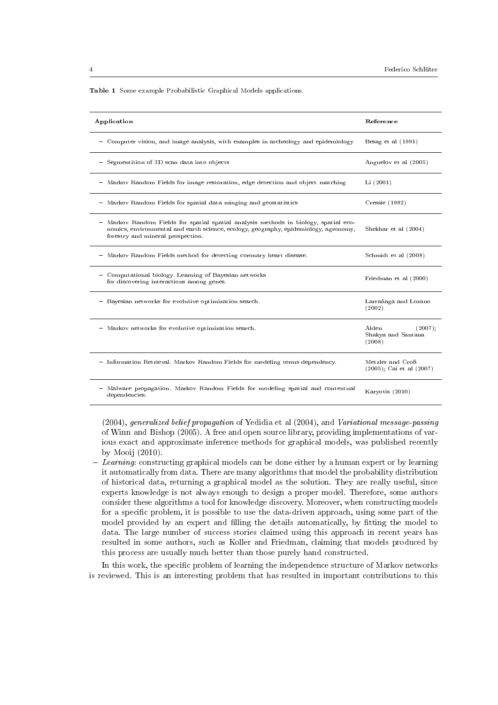Table 1 Some example Probabilistic Graphical Models applications.

| Application                                                                                                                                                                                                       | Reference                                           |
|-------------------------------------------------------------------------------------------------------------------------------------------------------------------------------------------------------------------|-----------------------------------------------------|
| - Computer vision, and image analysis, with examples in archeology and epidemiology                                                                                                                               | Besag et al (1991)                                  |
| Segmentition of 3D scan data into objects<br>-                                                                                                                                                                    | Anguelov et al (2005)                               |
| - Markov Random Fields for image restoration, edge detection and object matching                                                                                                                                  | Li(2001)                                            |
| - Markov Random Fields for spatial data minging and geostatistics                                                                                                                                                 | $C$ ressie (1992)                                   |
| - Markov Random Fields for spatial spatial analysis methods in biology, spatial eco-<br>nomics, environmental and earth science, ecology, geography, epidemiology, agronomy,<br>forestry and mineral prospection. | Shekhar et al (2004)                                |
| - Markov Random Fields method for detecting coronary heart disease.                                                                                                                                               | Schmidt et al (2008)                                |
| - Computational biology. Learning of Bayesian networks<br>for discovering interactions among genes.                                                                                                               | Friedman et al (2000)                               |
| - Bayesian networks for evolutive optimization search.                                                                                                                                                            | Larrañaga and Lozano<br>(2002)                      |
| - Markov networks for evolutive optimization search.                                                                                                                                                              | Alden<br>$(2007)$ ;<br>Shakya and Santana<br>(2008) |
| - Information Retrieval. Markov Random Fields for modeling terms dependency.                                                                                                                                      | Metzler and Croft<br>$(2005)$ ; Cai et al $(2007)$  |
| - Malware propagation. Markov Random Fields for modeling spatial and contextual<br>dependencies.                                                                                                                  | Karyotis (2010)                                     |

(2004), generalized belief propagation of Yedidia et al (2004), and Variational message-passing of Winn and Bishop (2005). A free and open source library, providing implementations of various exact and approximate inference methods for graphical models, was published recently by Mooij (2010).

 $\overline{L}$  *Learning*: constructing graphical models can be done either by a human expert or by learning it automatically from data. There are many algorithms that model the probability distribution of historical data, returning a graphical model as the solution. They are really useful, since experts knowledge is not always enough to design a proper model. Therefore, some authors consider these algorithms a tool for knowledge discovery. Moreover, when constructing models for a specific problem, it is possible to use the data-driven approach, using some part of the model provided by an expert and filling the details automatically, by fitting the model to data. The large number of success stories claimed using this approach in recent years has resulted in some authors, such as Koller and Friedman, claiming that models produced by this process are usually much better than those purely hand constructed.

In this work, the specific problem of learning the independence structure of Markov networks is reviewed. This is an interesting problem that has resulted in important contributions to this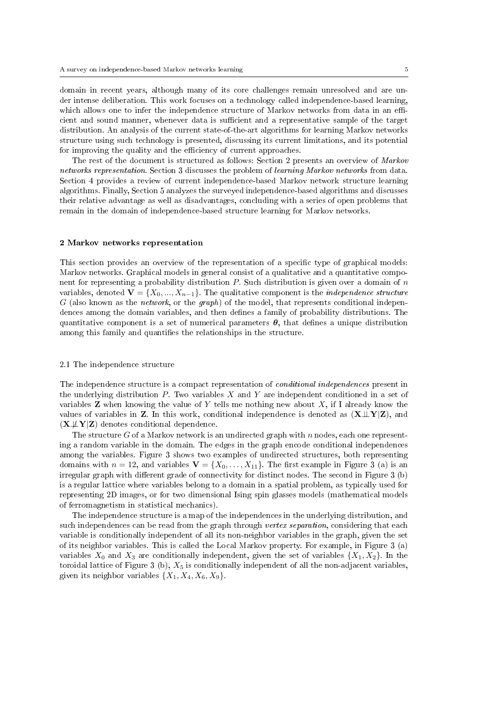domain in recent years, although many of its core challenges remain unresolved and are under intense deliberation. This work focuses on a technology called independence-based learning, which allows one to infer the independence structure of Markov networks from data in an efficient and sound manner, whenever data is sufficient and a representative sample of the target distribution. An analysis of the current state-of-the-art algorithms for learning Markov networks structure using such technology is presented, discussing its current limitations, and its potential for improving the quality and the efficiency of current approaches.

The rest of the document is structured as follows: Section 2 presents an overview of Markov networks representation. Section 3 discusses the problem of learning Markov networks from data. Section 4 provides a review of current independence-based Markov network structure learning algorithms. Finally, Section 5 analyzes the surveyed independence-based algorithms and discusses their relative advantage as well as disadvantages, concluding with a series of open problems that remain in the domain of independence-based structure learning for Markov networks.

#### 2 Markov networks representation

This section provides an overview of the representation of a specific type of graphical models: Markov networks. Graphical models in general consist of a qualitative and a quantitative component for representing a probability distribution *P*. Such distribution is given over a domain of *n* variables, denoted  $\mathbf{V} = \{X_0, ..., X_{n-1}\}\.$  The qualitative component is the *independence structure G* (also known as the network, or the graph) of the model, that represents conditional independences among the domain variables, and then denes a family of probability distributions. The quantitative component is a set of numerical parameters  $\theta$ , that defines a unique distribution among this family and quantifies the relationships in the structure.

#### 2.1 The independence structure

The independence structure is a compact representation of *conditional independences* present in the underlying distribution *P*. Two variables *X* and *Y* are independent conditioned in a set of variables  $\mathbf Z$  when knowing the value of  $Y$  tells me nothing new about  $X$ , if I already know the values of variables in **Z**. In this work, conditional independence is denoted as (**X***⊥⊥***Y***|***Z**), and (**X** *6⊥⊥***Y***|***Z**) denotes conditional dependence.

The structure *G* of a Markov network is an undirected graph with *n* nodes, each one representing a random variable in the domain. The edges in the graph encode conditional independences among the variables. Figure 3 shows two examples of undirected structures, both representing domains with  $n = 12$ , and variables  $\mathbf{V} = \{X_0, \ldots, X_{11}\}$ . The first example in Figure 3 (a) is an irregular graph with different grade of connectivity for distinct nodes. The second in Figure 3 (b) is a regular lattice where variables belong to a domain in a spatial problem, as typically used for representing 2D images, or for two dimensional Ising spin glasses models (mathematical models of ferromagnetism in statistical mechanics).

The independence structure is a map of the independences in the underlying distribution, and such independences can be read from the graph through vertex separation, considering that each variable is conditionally independent of all its non-neighbor variables in the graph, given the set of its neighbor variables. This is called the Local Markov property. For example, in Figure 3 (a) variables  $X_0$  and  $X_3$  are conditionally independent, given the set of variables  $\{X_1, X_2\}$ . In the toroidal lattice of Figure 3 (b),  $X_5$  is conditionally independent of all the non-adjacent variables, given its neighbor variables  $\{X_1, X_4, X_6, X_9\}$ .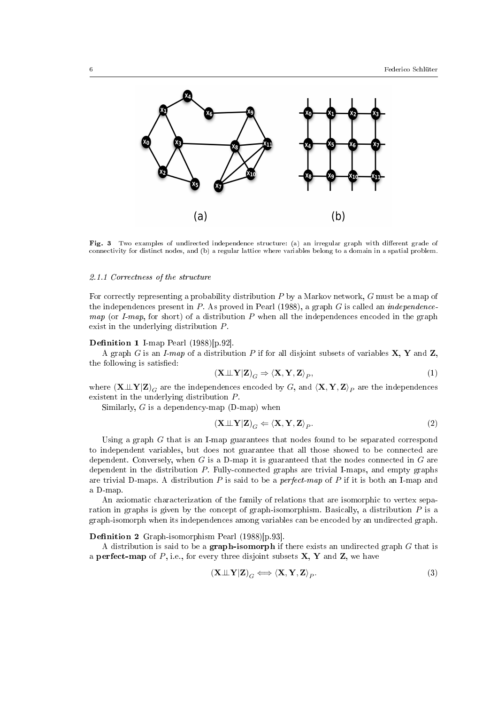

Fig. 3 Two examples of undirected independence structure: (a) an irregular graph with different grade of connectivity for distinct nodes, and (b) a regular lattice where variables belong to a domain in a spatial problem.

#### 2.1.1 Correctness of the structure

For correctly representing a probability distribution *P* by a Markov network, *G* must be a map of the independences present in *P*. As proved in Pearl (1988), a graph *G* is called an independencemap (or I-map, for short) of a distribution *P* when all the independences encoded in the graph exist in the underlying distribution *P*.

## Definition 1 I-map Pearl  $(1988)[p.92]$ .

A graph *G* is an I-map of a distribution *P* if for all disjoint subsets of variables **X**, **Y** and **Z**, the following is satisfied:

$$
(\mathbf{X} \perp \!\!\!\perp \mathbf{Y}|\mathbf{Z})_G \Rightarrow \langle \mathbf{X}, \mathbf{Y}, \mathbf{Z} \rangle_P,\tag{1}
$$

where  $({\bf X} \bot \!\!\bot {\bf Y}|{\bf Z})_G$  are the independences encoded by  $G$ , and  $\langle {\bf X},{\bf Y},{\bf Z}\rangle_P$  are the independences existent in the underlying distribution *P*.

Similarly, *G* is a dependency-map (D-map) when

$$
(\mathbf{X} \perp \!\!\!\perp \mathbf{Y}|\mathbf{Z})_G \Leftarrow \langle \mathbf{X}, \mathbf{Y}, \mathbf{Z} \rangle_P. \tag{2}
$$

Using a graph *G* that is an I-map guarantees that nodes found to be separated correspond to independent variables, but does not guarantee that all those showed to be connected are dependent. Conversely, when *G* is a D-map it is guaranteed that the nodes connected in *G* are dependent in the distribution *P*. Fully-connected graphs are trivial I-maps, and empty graphs are trivial D-maps. A distribution *P* is said to be a perfect-map of *P* if it is both an I-map and a D-map.

An axiomatic characterization of the family of relations that are isomorphic to vertex separation in graphs is given by the concept of graph-isomorphism. Basically, a distribution *P* is a graph-isomorph when its independences among variables can be encoded by an undirected graph.

Definition 2 Graph-isomorphism Pearl (1988)[p.93].

A distribution is said to be a graph-isomorph if there exists an undirected graph *G* that is a **perfect-map** of  $P$ , i.e., for every three disjoint subsets  $X$ ,  $Y$  and  $Z$ , we have

$$
(\mathbf{X} \perp \mathbf{Y} | \mathbf{Z})_G \Longleftrightarrow \langle \mathbf{X}, \mathbf{Y}, \mathbf{Z} \rangle_P. \tag{3}
$$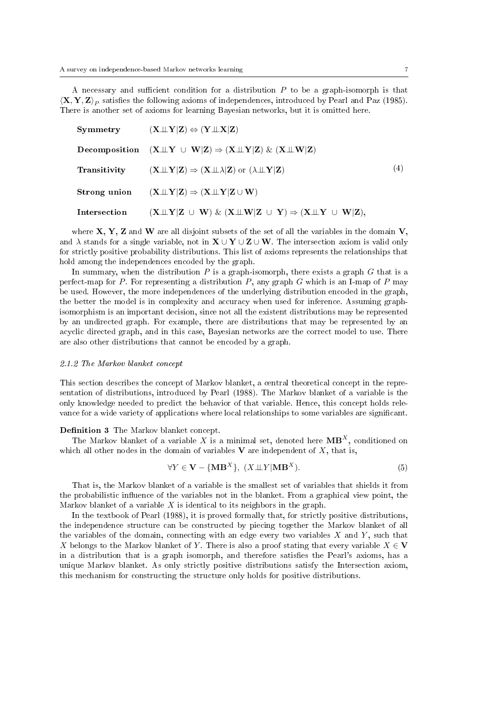A necessary and sufficient condition for a distribution  $P$  to be a graph-isomorph is that  $\langle \mathbf{X}, \mathbf{Y}, \mathbf{Z} \rangle_P$  satisfies the following axioms of independences, introduced by Pearl and Paz (1985). There is another set of axioms for learning Bayesian networks, but it is omitted here.

| Symmetry     | $(X \perp \!\!\!\perp Y   Z) \Leftrightarrow (Y \perp \!\!\!\perp X   Z)$                                                                                                                                                                          |     |
|--------------|----------------------------------------------------------------------------------------------------------------------------------------------------------------------------------------------------------------------------------------------------|-----|
|              | Decomposition $(X \perp\!\!\!\perp Y \cup W Z) \Rightarrow (X \perp\!\!\!\perp Y Z) \& (X \perp\!\!\!\perp W Z)$                                                                                                                                   |     |
|              | Transitivity $(X \perp \!\!\!\perp Y   Z) \Rightarrow (X \perp \!\!\!\perp \lambda   Z)$ or $(\lambda \perp \!\!\!\perp Y   Z)$                                                                                                                    | (4) |
|              | Strong union $(X \perp \!\!\!\perp Y   Z) \Rightarrow (X \perp \!\!\!\perp Y   Z \cup W)$                                                                                                                                                          |     |
| Intersection | $(\mathbf{X} \perp \!\!\!\perp \mathbf{Y} \vert \mathbf{Z} \cup \mathbf{W}) \& (\mathbf{X} \perp \!\!\!\perp \mathbf{W} \vert \mathbf{Z} \cup \mathbf{Y}) \Rightarrow (\mathbf{X} \perp \!\!\!\perp \mathbf{Y} \cup \mathbf{W} \vert \mathbf{Z}),$ |     |

where **X**, **Y**, **Z** and **W** are all disjoint subsets of the set of all the variables in the domain **V**, and  $\lambda$  stands for a single variable, not in  $\mathbf{X} \cup \mathbf{Y} \cup \mathbf{Z} \cup \mathbf{W}$ . The intersection axiom is valid only for strictly positive probability distributions. This list of axioms represents the relationships that hold among the independences encoded by the graph.

In summary, when the distribution *P* is a graph-isomorph, there exists a graph *G* that is a perfect-map for *P*. For representing a distribution *P*, any graph *G* which is an I-map of *P* may be used. However, the more independences of the underlying distribution encoded in the graph, the better the model is in complexity and accuracy when used for inference. Assuming graphisomorphism is an important decision, since not all the existent distributions may be represented by an undirected graph. For example, there are distributions that may be represented by an acyclic directed graph, and in this case, Bayesian networks are the correct model to use. There are also other distributions that cannot be encoded by a graph.

#### 2.1.2 The Markov blanket concept

This section describes the concept of Markov blanket, a central theoretical concept in the representation of distributions, introduced by Pearl (1988). The Markov blanket of a variable is the only knowledge needed to predict the behavior of that variable. Hence, this concept holds relevance for a wide variety of applications where local relationships to some variables are signicant.

## Definition 3 The Markov blanket concept.

The Markov blanket of a variable X is a minimal set, denoted here  $MB^X$ , conditioned on which all other nodes in the domain of variables  $\bf{V}$  are independent of  $X$ , that is,

$$
\forall Y \in \mathbf{V} - \{\mathbf{MB}^X\}, \ (X \perp\!\!\!\perp Y | \mathbf{MB}^X). \tag{5}
$$

That is, the Markov blanket of a variable is the smallest set of variables that shields it from the probabilistic influence of the variables not in the blanket. From a graphical view point, the Markov blanket of a variable *X* is identical to its neighbors in the graph.

In the textbook of Pearl (1988), it is proved formally that, for strictly positive distributions, the independence structure can be constructed by piecing together the Markov blanket of all the variables of the domain, connecting with an edge every two variables *X* and *Y* , such that *X* belongs to the Markov blanket of *Y*. There is also a proof stating that every variable  $X \in V$ in a distribution that is a graph isomorph, and therefore satisfies the Pearl's axioms, has a unique Markov blanket. As only strictly positive distributions satisfy the Intersection axiom, this mechanism for constructing the structure only holds for positive distributions.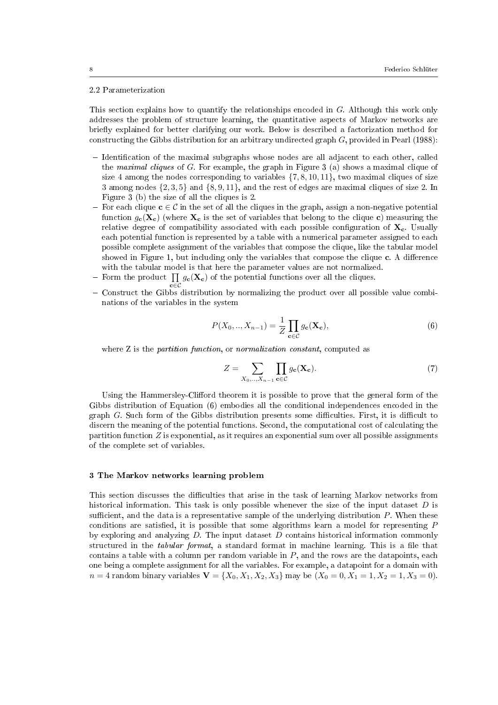#### 2.2 Parameterization

This section explains how to quantify the relationships encoded in *G*. Although this work only addresses the problem of structure learning, the quantitative aspects of Markov networks are briefly explained for better clarifying our work. Below is described a factorization method for constructing the Gibbs distribution for an arbitrary undirected graph *G*, provided in Pearl (1988):

- Identification of the maximal subgraphs whose nodes are all adjacent to each other, called the maximal cliques of *G*. For example, the graph in Figure 3 (a) shows a maximal clique of size 4 among the nodes corresponding to variables *{*7*,* 8*,* 10*,* 11*}*, two maximal cliques of size 3 among nodes *{*2*,* 3*,* 5*}* and *{*8*,* 9*,* 11*}*, and the rest of edges are maximal cliques of size 2. In Figure 3 (b) the size of all the cliques is 2.
- For each clique **c** *∈ C* in the set of all the cliques in the graph, assign a non-negative potential function  $q_c(\mathbf{X_c})$  (where  $\mathbf{X_c}$  is the set of variables that belong to the clique **c**) measuring the relative degree of compatibility associated with each possible configuration of  $\mathbf{X}_c$ . Usually each potential function is represented by a table with a numerical parameter assigned to each possible complete assignment of the variables that compose the clique, like the tabular model showed in Figure 1, but including only the variables that compose the clique **c**. A difference with the tabular model is that here the parameter values are not normalized.
- $\overline{a}$  Form the product  $\prod g_{\mathbf{c}}(\mathbf{X}_{\mathbf{c}})$  of the potential functions over all the cliques.
- **c***∈C* Construct the Gibbs distribution by normalizing the product over all possible value combinations of the variables in the system

$$
P(X_0,..,X_{n-1}) = \frac{1}{Z} \prod_{\mathbf{c} \in \mathcal{C}} g_{\mathbf{c}}(\mathbf{X}_{\mathbf{c}}),\tag{6}
$$

where Z is the *partition function*, or *normalization constant*, computed as

$$
Z = \sum_{X_0, \dots, X_{n-1}} \prod_{\mathbf{c} \in C} g_{\mathbf{c}}(\mathbf{X}_{\mathbf{c}}).
$$
 (7)

Using the Hammersley-Clifford theorem it is possible to prove that the general form of the Gibbs distribution of Equation (6) embodies all the conditional independences encoded in the graph *G*. Such form of the Gibbs distribution presents some difficulties. First, it is difficult to discern the meaning of the potential functions. Second, the computational cost of calculating the partition function *Z* is exponential, as it requires an exponential sum over all possible assignments of the complete set of variables.

## 3 The Markov networks learning problem

This section discusses the difficulties that arise in the task of learning Markov networks from historical information. This task is only possible whenever the size of the input dataset *D* is sufficient, and the data is a representative sample of the underlying distribution P. When these conditions are satised, it is possible that some algorithms learn a model for representing *P* by exploring and analyzing *D*. The input dataset *D* contains historical information commonly structured in the *tabular format*, a standard format in machine learning. This is a file that contains a table with a column per random variable in *P*, and the rows are the datapoints, each one being a complete assignment for all the variables. For example, a datapoint for a domain with *n* = 4 random binary variables  $V = \{X_0, X_1, X_2, X_3\}$  may be  $(X_0 = 0, X_1 = 1, X_2 = 1, X_3 = 0)$ .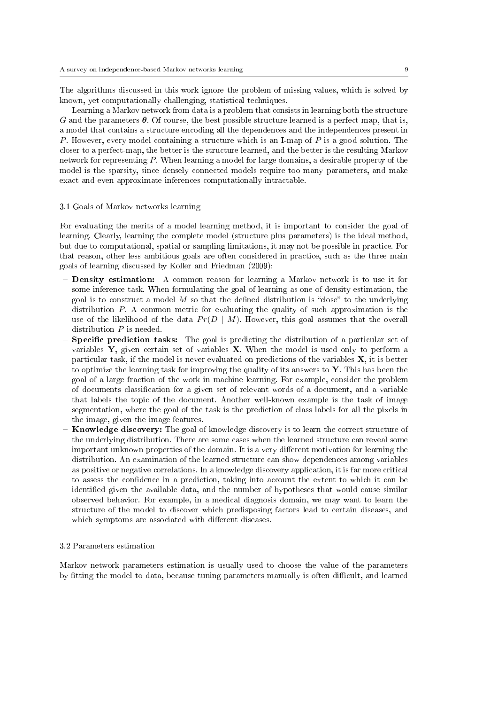The algorithms discussed in this work ignore the problem of missing values, which is solved by known, yet computationally challenging, statistical techniques.

Learning a Markov network from data is a problem that consists in learning both the structure *G* and the parameters *θ*. Of course, the best possible structure learned is a perfect-map, that is, a model that contains a structure encoding all the dependences and the independences present in *P*. However, every model containing a structure which is an I-map of *P* is a good solution. The closer to a perfect-map, the better is the structure learned, and the better is the resulting Markov network for representing *P*. When learning a model for large domains, a desirable property of the model is the sparsity, since densely connected models require too many parameters, and make exact and even approximate inferences computationally intractable.

#### 3.1 Goals of Markov networks learning

For evaluating the merits of a model learning method, it is important to consider the goal of learning. Clearly, learning the complete model (structure plus parameters) is the ideal method, but due to computational, spatial or sampling limitations, it may not be possible in practice. For that reason, other less ambitious goals are often considered in practice, such as the three main goals of learning discussed by Koller and Friedman (2009):

- Density estimation: A common reason for learning a Markov network is to use it for some inference task. When formulating the goal of learning as one of density estimation, the goal is to construct a model  $M$  so that the defined distribution is "close" to the underlying distribution *P*. A common metric for evaluating the quality of such approximation is the use of the likelihood of the data  $Pr(D \mid M)$ . However, this goal assumes that the overall distribution *P* is needed.
- Specific prediction tasks: The goal is predicting the distribution of a particular set of variables **Y**, given certain set of variables **X**. When the model is used only to perform a particular task, if the model is never evaluated on predictions of the variables **X**, it is better to optimize the learning task for improving the quality of its answers to **Y**. This has been the goal of a large fraction of the work in machine learning. For example, consider the problem of documents classication for a given set of relevant words of a document, and a variable that labels the topic of the document. Another well-known example is the task of image segmentation, where the goal of the task is the prediction of class labels for all the pixels in the image, given the image features.
- Knowledge discovery: The goal of knowledge discovery is to learn the correct structure of the underlying distribution. There are some cases when the learned structure can reveal some important unknown properties of the domain. It is a very different motivation for learning the distribution. An examination of the learned structure can show dependences among variables as positive or negative correlations. In a knowledge discovery application, it is far more critical to assess the confidence in a prediction, taking into account the extent to which it can be identified given the available data, and the number of hypotheses that would cause similar observed behavior. For example, in a medical diagnosis domain, we may want to learn the structure of the model to discover which predisposing factors lead to certain diseases, and which symptoms are associated with different diseases.

## 3.2 Parameters estimation

Markov network parameters estimation is usually used to choose the value of the parameters by fitting the model to data, because tuning parameters manually is often difficult, and learned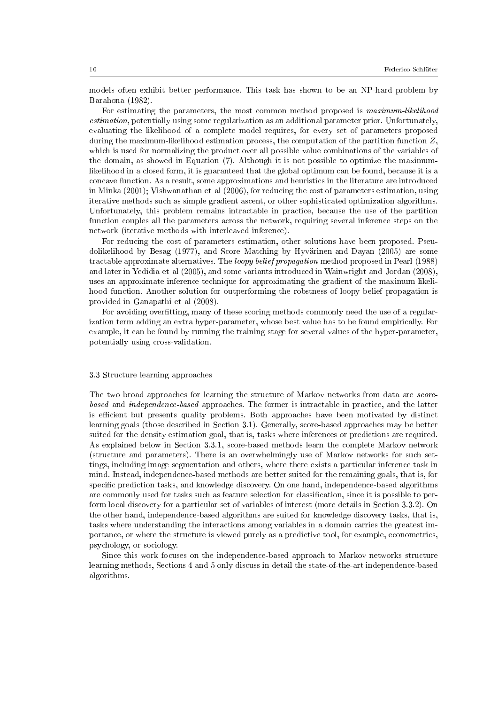models often exhibit better performance. This task has shown to be an NP-hard problem by Barahona (1982).

For estimating the parameters, the most common method proposed is maximum-likelihood estimation, potentially using some regularization as an additional parameter prior. Unfortunately, evaluating the likelihood of a complete model requires, for every set of parameters proposed during the maximum-likelihood estimation process, the computation of the partition function *Z*, which is used for normalizing the product over all possible value combinations of the variables of the domain, as showed in Equation (7). Although it is not possible to optimize the maximumlikelihood in a closed form, it is guaranteed that the global optimum can be found, because it is a concave function. As a result, some approximations and heuristics in the literature are introduced in Minka (2001); Vishwanathan et al (2006), for reducing the cost of parameters estimation, using iterative methods such as simple gradient ascent, or other sophisticated optimization algorithms. Unfortunately, this problem remains intractable in practice, because the use of the partition function couples all the parameters across the network, requiring several inference steps on the network (iterative methods with interleaved inference).

For reducing the cost of parameters estimation, other solutions have been proposed. Pseudolikelihood by Besag (1977), and Score Matching by Hyvärinen and Dayan (2005) are some tractable approximate alternatives. The loopy belief propagation method proposed in Pearl (1988) and later in Yedidia et al (2005), and some variants introduced in Wainwright and Jordan (2008), uses an approximate inference technique for approximating the gradient of the maximum likelihood function. Another solution for outperforming the robstness of loopy belief propagation is provided in Ganapathi et al (2008).

For avoiding overfitting, many of these scoring methods commonly need the use of a regularization term adding an extra hyper-parameter, whose best value has to be found empirically. For example, it can be found by running the training stage for several values of the hyper-parameter, potentially using cross-validation.

#### 3.3 Structure learning approaches

The two broad approaches for learning the structure of Markov networks from data are *score*based and independence-based approaches. The former is intractable in practice, and the latter is efficient but presents quality problems. Both approaches have been motivated by distinct learning goals (those described in Section 3.1). Generally, score-based approaches may be better suited for the density estimation goal, that is, tasks where inferences or predictions are required. As explained below in Section 3.3.1, score-based methods learn the complete Markov network (structure and parameters). There is an overwhelmingly use of Markov networks for such settings, including image segmentation and others, where there exists a particular inference task in mind. Instead, independence-based methods are better suited for the remaining goals, that is, for specific prediction tasks, and knowledge discovery. On one hand, independence-based algorithms are commonly used for tasks such as feature selection for classication, since it is possible to perform local discovery for a particular set of variables of interest (more details in Section 3.3.2). On the other hand, independence-based algorithms are suited for knowledge discovery tasks, that is, tasks where understanding the interactions among variables in a domain carries the greatest importance, or where the structure is viewed purely as a predictive tool, for example, econometrics, psychology, or sociology.

Since this work focuses on the independence-based approach to Markov networks structure learning methods, Sections 4 and 5 only discuss in detail the state-of-the-art independence-based algorithms.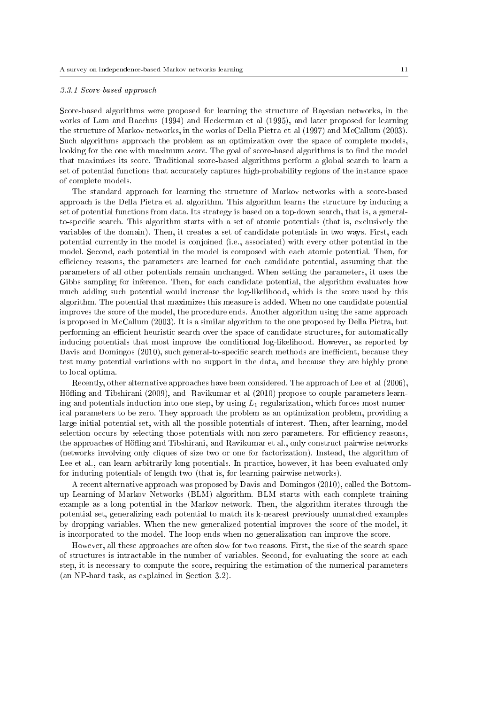#### 3.3.1 Score-based approach

Score-based algorithms were proposed for learning the structure of Bayesian networks, in the works of Lam and Bacchus (1994) and Heckerman et al (1995), and later proposed for learning the structure of Markov networks, in the works of Della Pietra et al (1997) and McCallum (2003). Such algorithms approach the problem as an optimization over the space of complete models, looking for the one with maximum *score*. The goal of score-based algorithms is to find the model that maximizes its score. Traditional score-based algorithms perform a global search to learn a set of potential functions that accurately captures high-probability regions of the instance space of complete models.

The standard approach for learning the structure of Markov networks with a score-based approach is the Della Pietra et al. algorithm. This algorithm learns the structure by inducing a set of potential functions from data. Its strategy is based on a top-down search, that is, a generalto-specific search. This algorithm starts with a set of atomic potentials (that is, exclusively the variables of the domain). Then, it creates a set of candidate potentials in two ways. First, each potential currently in the model is conjoined (i.e., associated) with every other potential in the model. Second, each potential in the model is composed with each atomic potential. Then, for efficiency reasons, the parameters are learned for each candidate potential, assuming that the parameters of all other potentials remain unchanged. When setting the parameters, it uses the Gibbs sampling for inference. Then, for each candidate potential, the algorithm evaluates how much adding such potential would increase the log-likelihood, which is the score used by this algorithm. The potential that maximizes this measure is added. When no one candidate potential improves the score of the model, the procedure ends. Another algorithm using the same approach is proposed in McCallum (2003). It is a similar algorithm to the one proposed by Della Pietra, but performing an efficient heuristic search over the space of candidate structures, for automatically inducing potentials that most improve the conditional log-likelihood. However, as reported by Davis and Domingos (2010), such general-to-specific search methods are inefficient, because they test many potential variations with no support in the data, and because they are highly prone to local optima.

Recently, other alternative approaches have been considered. The approach of Lee et al (2006), Höfling and Tibshirani (2009), and Ravikumar et al (2010) propose to couple parameters learning and potentials induction into one step, by using *L*1-regularization, which forces most numerical parameters to be zero. They approach the problem as an optimization problem, providing a large initial potential set, with all the possible potentials of interest. Then, after learning, model selection occurs by selecting those potentials with non-zero parameters. For efficiency reasons, the approaches of Höing and Tibshirani, and Ravikumar et al., only construct pairwise networks (networks involving only cliques of size two or one for factorization). Instead, the algorithm of Lee et al., can learn arbitrarily long potentials. In practice, however, it has been evaluated only for inducing potentials of length two (that is, for learning pairwise networks).

A recent alternative approach was proposed by Davis and Domingos (2010), called the Bottomup Learning of Markov Networks (BLM) algorithm. BLM starts with each complete training example as a long potential in the Markov network. Then, the algorithm iterates through the potential set, generalizing each potential to match its k-nearest previously unmatched examples by dropping variables. When the new generalized potential improves the score of the model, it is incorporated to the model. The loop ends when no generalization can improve the score.

However, all these approaches are often slow for two reasons. First, the size of the search space of structures is intractable in the number of variables. Second, for evaluating the score at each step, it is necessary to compute the score, requiring the estimation of the numerical parameters (an NP-hard task, as explained in Section 3.2).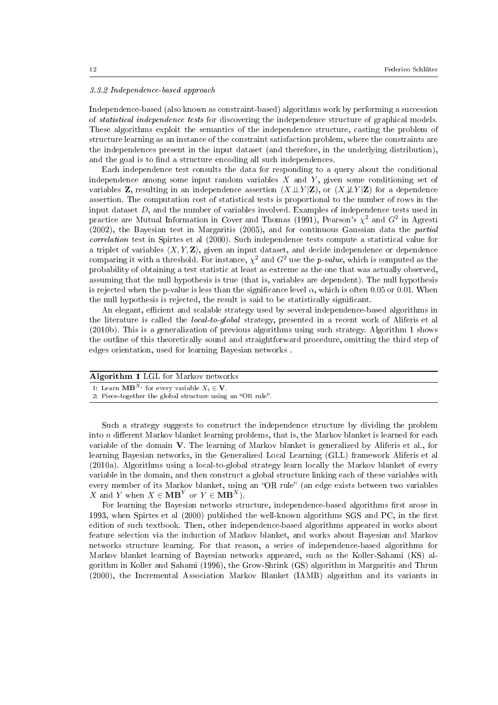#### 3.3.2 Independence-based approach

Independence-based (also known as constraint-based) algorithms work by performing a succession of statistical independence tests for discovering the independence structure of graphical models. These algorithms exploit the semantics of the independence structure, casting the problem of structure learning as an instance of the constraint satisfaction problem, where the constraints are the independences present in the input dataset (and therefore, in the underlying distribution), and the goal is to find a structure encoding all such independences.

Each independence test consults the data for responding to a query about the conditional independence among some input random variables *X* and *Y* , given some conditioning set of variables **Z**, resulting in an independence assertion  $(X \perp\!\!\!\perp Y | \mathbf{Z})$ , or  $(X \perp\!\!\!\perp Y | \mathbf{Z})$  for a dependence assertion. The computation cost of statistical tests is proportional to the number of rows in the input dataset *D*, and the number of variables involved. Examples of independence tests used in practice are Mutual Information in Cover and Thomas (1991), Pearson's  $\chi^2$  and  $G^2$  in Agresti (2002), the Bayesian test in Margaritis (2005), and for continuous Gaussian data the partial correlation test in Spirtes et al (2000). Such independence tests compute a statistical value for a triplet of variables  $\langle X, Y, \mathbf{Z} \rangle$ , given an input dataset, and decide independence or dependence comparing it with a threshold. For instance,  $\chi^2$  and  $G^2$  use the p-value, which is computed as the probability of obtaining a test statistic at least as extreme as the one that was actually observed, assuming that the null hypothesis is true (that is, variables are dependent). The null hypothesis is rejected when the p-value is less than the significance level  $\alpha$ , which is often 0.05 or 0.01. When the null hypothesis is rejected, the result is said to be statistically signicant.

An elegant, efficient and scalable strategy used by several independence-based algorithms in the literature is called the local-to-global strategy, presented in a recent work of Aliferis et al (2010b). This is a generalization of previous algorithms using such strategy. Algorithm 1 shows the outline of this theoretically sound and straightforward procedure, omitting the third step of edges orientation, used for learning Bayesian networks .

| Algorithm 1 LGL for Markov networks                                                                                                  |  |
|--------------------------------------------------------------------------------------------------------------------------------------|--|
| 1: Learn $\mathbf{MB}^{X_i}$ for every variable $X_i \in \mathbf{V}$ .<br>2. Piece-together the global structure using an "OR rule". |  |

Such a strategy suggests to construct the independence structure by dividing the problem into  $n$  different Markov blanket learning problems, that is, the Markov blanket is learned for each variable of the domain **V**. The learning of Markov blanket is generalized by Aliferis et al., for learning Bayesian networks, in the Generalized Local Learning (GLL) framework Aliferis et al (2010a). Algorithms using a local-to-global strategy learn locally the Markov blanket of every variable in the domain, and then construct a global structure linking each of these variables with every member of its Markov blanket, using an "OR rule" (an edge exists between two variables *X* and *Y* when  $X \in \mathbf{MB}^Y$  or  $Y \in \mathbf{MB}^X$ ).

For learning the Bayesian networks structure, independence-based algorithms first arose in 1993, when Spirtes et al (2000) published the well-known algorithms SGS and PC, in the first edition of such textbook. Then, other independence-based algorithms appeared in works about feature selection via the induction of Markov blanket, and works about Bayesian and Markov networks structure learning. For that reason, a series of independence-based algorithms for Markov blanket learning of Bayesian networks appeared, such as the Koller-Sahami (KS) algorithm in Koller and Sahami (1996), the Grow-Shrink (GS) algorithm in Margaritis and Thrun (2000), the Incremental Association Markov Blanket (IAMB) algorithm and its variants in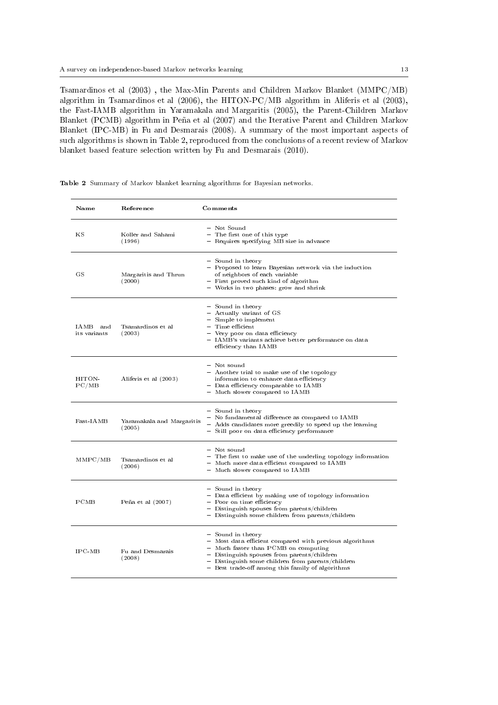Tsamardinos et al (2003) , the Max-Min Parents and Children Markov Blanket (MMPC/MB) algorithm in Tsamardinos et al (2006), the HITON-PC/MB algorithm in Aliferis et al (2003), the Fast-IAMB algorithm in Yaramakala and Margaritis (2005), the Parent-Children Markov Blanket (PCMB) algorithm in Peña et al (2007) and the Iterative Parent and Children Markov Blanket (IPC-MB) in Fu and Desmarais (2008). A summary of the most important aspects of such algorithms is shown in Table 2, reproduced from the conclusions of a recent review of Markov blanket based feature selection written by Fu and Desmarais (2010).

Table 2 Summary of Markov blanket learning algorithms for Bayesian networks.

| Name                        | Reference                           | Comments                                                                                                                                                                                                                                                                     |
|-----------------------------|-------------------------------------|------------------------------------------------------------------------------------------------------------------------------------------------------------------------------------------------------------------------------------------------------------------------------|
| $_{\rm KS}$                 | Koller and Sahami<br>(1996)         | - Not Sound<br>- The first one of this type<br>- Requires specifying MB size in advance                                                                                                                                                                                      |
| GS                          | Margaritis and Thrun<br>(2000)      | - Sound in theory<br>- Proposed to learn Bayesian network via the induction<br>of neighbors of each variable<br>- First proved such kind of algorithm<br>- Works in two phases: grow and shrink                                                                              |
| IAMB<br>and<br>its variants | Tsamardinos et al<br>(2003)         | - Sound in theory<br>- Actually variant of GS<br>- Simple to implement<br>- Time efficient<br>- Very poor on data efficiency<br>- IAMB's variants achieve better performance on data<br>efficiency than IAMB                                                                 |
| HITON-<br>PC/MB             | Aliferis et al (2003)               | - Not sound<br>- Another trial to make use of the topology<br>information to enhance data efficiency<br>- Data efficiency comparable to IAMB<br>- Much slower compared to IAMB                                                                                               |
| Fast-IAMB                   | Yaramakala and Margaritis<br>(2005) | - Sound in theory<br>- No fundamental difference as compared to IAMB<br>- Adds candidates more greedily to speed up the learning<br>- Still poor on data efficiency performance                                                                                              |
| MMPC/MB                     | Tsamardinos et al<br>(2006)         | - Not sound<br>- The first to make use of the underling topology information<br>- Much more data efficient compared to IAMB<br>- Much slower compared to IAMB                                                                                                                |
| <b>PCMB</b>                 | Peña et al $(2007)$                 | - Sound in theory<br>- Data efficient by making use of topology information<br>- Poor on time efficiency<br>- Distinguish spouses from parents/children<br>- Distinguish some children from parents/children                                                                 |
| $IPC-MB$                    | Fu and Desmarais<br>(2008)          | - Sound in theory<br>- Most data efficient compared with previous algorithms<br>- Much faster than PCMB on computing<br>- Distinguish spouses from parents/children<br>- Distinguish some children from parents/children<br>- Best trade-off among this family of algorithms |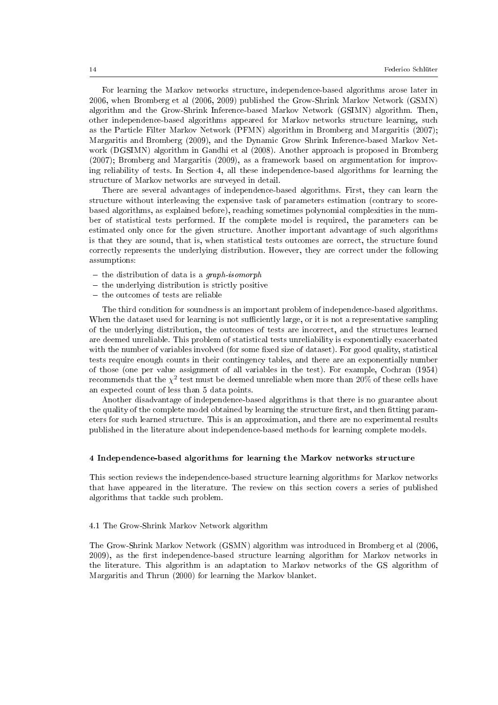For learning the Markov networks structure, independence-based algorithms arose later in 2006, when Bromberg et al (2006, 2009) published the Grow-Shrink Markov Network (GSMN) algorithm and the Grow-Shrink Inference-based Markov Network (GSIMN) algorithm. Then, other independence-based algorithms appeared for Markov networks structure learning, such as the Particle Filter Markov Network (PFMN) algorithm in Bromberg and Margaritis (2007); Margaritis and Bromberg (2009), and the Dynamic Grow Shrink Inference-based Markov Network (DGSIMN) algorithm in Gandhi et al (2008). Another approach is proposed in Bromberg (2007); Bromberg and Margaritis (2009), as a framework based on argumentation for improving reliability of tests. In Section 4, all these independence-based algorithms for learning the structure of Markov networks are surveyed in detail.

There are several advantages of independence-based algorithms. First, they can learn the structure without interleaving the expensive task of parameters estimation (contrary to scorebased algorithms, as explained before), reaching sometimes polynomial complexities in the number of statistical tests performed. If the complete model is required, the parameters can be estimated only once for the given structure. Another important advantage of such algorithms is that they are sound, that is, when statistical tests outcomes are correct, the structure found correctly represents the underlying distribution. However, they are correct under the following assumptions:

- $\overline{t}$  the distribution of data is a *graph-isomorph*
- $-$  the underlying distribution is strictly positive
- $-$  the outcomes of tests are reliable

The third condition for soundness is an important problem of independence-based algorithms. When the dataset used for learning is not sufficiently large, or it is not a representative sampling of the underlying distribution, the outcomes of tests are incorrect, and the structures learned are deemed unreliable. This problem of statistical tests unreliability is exponentially exacerbated with the number of variables involved (for some fixed size of dataset). For good quality, statistical tests require enough counts in their contingency tables, and there are an exponentially number of those (one per value assignment of all variables in the test). For example, Cochran (1954) recommends that the  $\chi^2$  test must be deemed unreliable when more than 20% of these cells have an expected count of less than 5 data points.

Another disadvantage of independence-based algorithms is that there is no guarantee about the quality of the complete model obtained by learning the structure first, and then fitting parameters for such learned structure. This is an approximation, and there are no experimental results published in the literature about independence-based methods for learning complete models.

#### 4 Independence-based algorithms for learning the Markov networks structure

This section reviews the independence-based structure learning algorithms for Markov networks that have appeared in the literature. The review on this section covers a series of published algorithms that tackle such problem.

#### 4.1 The Grow-Shrink Markov Network algorithm

The Grow-Shrink Markov Network (GSMN) algorithm was introduced in Bromberg et al (2006, 2009), as the first independence-based structure learning algorithm for Markov networks in the literature. This algorithm is an adaptation to Markov networks of the GS algorithm of Margaritis and Thrun (2000) for learning the Markov blanket.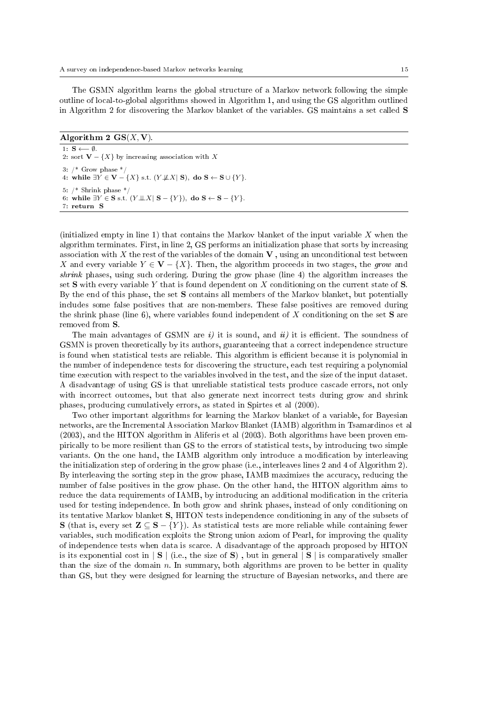The GSMN algorithm learns the global structure of a Markov network following the simple outline of local-to-global algorithms showed in Algorithm 1, and using the GS algorithm outlined in Algorithm 2 for discovering the Markov blanket of the variables. GS maintains a set called **S**

## Algorithm  $2$   $GS(X, V)$ . 1: **S** *←− ∅.* 2: sort  $V - \{X\}$  by increasing association with X 3: /\* Grow phase  $\ast/$ 4: **while**  $\exists Y \in \mathbf{V} - \{X\}$  s.t.  $(Y \not\perp X | \mathbf{S})$ , do  $\mathbf{S} \leftarrow \mathbf{S} \cup \{Y\}$ . 5: /\* Shrink phase \*/ 6: **while**  $\exists Y \in \mathbf{S}$  s.t.  $(Y \perp \!\!\perp X | \mathbf{S} - \{Y\})$ , **do**  $\mathbf{S} \leftarrow \mathbf{S} - \{Y\}$ . 7: return **S**

(initialized empty in line 1) that contains the Markov blanket of the input variable *X* when the algorithm terminates. First, in line 2, GS performs an initialization phase that sorts by increasing association with X the rest of the variables of the domain  $V$ , using an unconditional test between *X* and every variable  $Y \in V - \{X\}$ . Then, the algorithm proceeds in two stages, the grow and  $shrink$  phases, using such ordering. During the grow phase (line 4) the algorithm increases the set **S** with every variable *Y* that is found dependent on *X* conditioning on the current state of **S**. By the end of this phase, the set **S** contains all members of the Markov blanket, but potentially includes some false positives that are non-members. These false positives are removed during the shrink phase (line 6), where variables found independent of *X* conditioning on the set **S** are removed from **S**.

The main advantages of GSMN are  $i$ ) it is sound, and  $ii$ ) it is efficient. The soundness of GSMN is proven theoretically by its authors, guaranteeing that a correct independence structure is found when statistical tests are reliable. This algorithm is efficient because it is polynomial in the number of independence tests for discovering the structure, each test requiring a polynomial time execution with respect to the variables involved in the test, and the size of the input dataset. A disadvantage of using GS is that unreliable statistical tests produce cascade errors, not only with incorrect outcomes, but that also generate next incorrect tests during grow and shrink phases, producing cumulatively errors, as stated in Spirtes et al (2000).

Two other important algorithms for learning the Markov blanket of a variable, for Bayesian networks, are the Incremental Association Markov Blanket (IAMB) algorithm in Tsamardinos et al (2003), and the HITON algorithm in Aliferis et al (2003). Both algorithms have been proven empirically to be more resilient than GS to the errors of statistical tests, by introducing two simple variants. On the one hand, the IAMB algorithm only introduce a modification by interleaving the initialization step of ordering in the grow phase (i.e., interleaves lines 2 and 4 of Algorithm 2). By interleaving the sorting step in the grow phase, IAMB maximizes the accuracy, reducing the number of false positives in the grow phase. On the other hand, the HITON algorithm aims to reduce the data requirements of IAMB, by introducing an additional modification in the criteria used for testing independence. In both grow and shrink phases, instead of only conditioning on its tentative Markov blanket **S**, HITON tests independence conditioning in any of the subsets of **S** (that is, every set **Z**  $\subseteq$  **S** − {*Y*}). As statistical tests are more reliable while containing fewer variables, such modification exploits the Strong union axiom of Pearl, for improving the quality of independence tests when data is scarce. A disadvantage of the approach proposed by HITON is its exponential cost in *|* **S** *|* (i.e., the size of **S**) , but in general *|* **S** *|* is comparatively smaller than the size of the domain  $n$ . In summary, both algorithms are proven to be better in quality than GS, but they were designed for learning the structure of Bayesian networks, and there are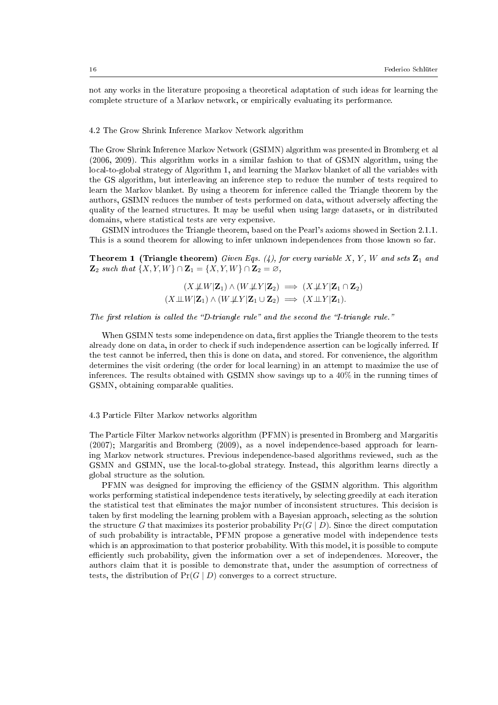not any works in the literature proposing a theoretical adaptation of such ideas for learning the complete structure of a Markov network, or empirically evaluating its performance.

4.2 The Grow Shrink Inference Markov Network algorithm

The Grow Shrink Inference Markov Network (GSIMN) algorithm was presented in Bromberg et al (2006, 2009). This algorithm works in a similar fashion to that of GSMN algorithm, using the local-to-global strategy of Algorithm 1, and learning the Markov blanket of all the variables with the GS algorithm, but interleaving an inference step to reduce the number of tests required to learn the Markov blanket. By using a theorem for inference called the Triangle theorem by the authors, GSIMN reduces the number of tests performed on data, without adversely affecting the quality of the learned structures. It may be useful when using large datasets, or in distributed domains, where statistical tests are very expensive.

GSIMN introduces the Triangle theorem, based on the Pearl's axioms showed in Section 2.1.1. This is a sound theorem for allowing to infer unknown independences from those known so far.

Theorem 1 (Triangle theorem) Given Eqs. (4), for every variable *X*, *Y* , *W* and sets **Z**<sup>1</sup> and **Z**<sub>2</sub> such that  $\{X, Y, W\} \cap \mathbf{Z}_1 = \{X, Y, W\} \cap \mathbf{Z}_2 = \emptyset$ ,

$$
(X \mathop{\perp\!\!\!\!\!\perp} W|\mathbf{Z}_1) \wedge (W \mathop{\perp\!\!\!\!\!\!\perp} Y|\mathbf{Z}_2) \implies (X \mathop{\perp\!\!\!\!\!\!\perp} Y|\mathbf{Z}_1 \cap \mathbf{Z}_2) (X \mathop{\perp\!\!\!\!\!\perp} W|\mathbf{Z}_1) \wedge (W \mathop{\perp\!\!\!\!\!\!\perp} Y|\mathbf{Z}_1 \cup \mathbf{Z}_2) \implies (X \mathop{\perp\!\!\!\!\!\perp} Y|\mathbf{Z}_1).
$$

The first relation is called the "D-triangle rule" and the second the "I-triangle rule."

When GSIMN tests some independence on data, first applies the Triangle theorem to the tests already done on data, in order to check if such independence assertion can be logically inferred. If the test cannot be inferred, then this is done on data, and stored. For convenience, the algorithm determines the visit ordering (the order for local learning) in an attempt to maximize the use of inferences. The results obtained with GSIMN show savings up to a 40% in the running times of GSMN, obtaining comparable qualities.

#### 4.3 Particle Filter Markov networks algorithm

The Particle Filter Markov networks algorithm (PFMN) is presented in Bromberg and Margaritis (2007); Margaritis and Bromberg (2009), as a novel independence-based approach for learning Markov network structures. Previous independence-based algorithms reviewed, such as the GSMN and GSIMN, use the local-to-global strategy. Instead, this algorithm learns directly a global structure as the solution.

PFMN was designed for improving the efficiency of the GSIMN algorithm. This algorithm works performing statistical independence tests iteratively, by selecting greedily at each iteration the statistical test that eliminates the major number of inconsistent structures. This decision is taken by first modeling the learning problem with a Bayesian approach, selecting as the solution the structure *G* that maximizes its posterior probability  $Pr(G | D)$ . Since the direct computation of such probability is intractable, PFMN propose a generative model with independence tests which is an approximation to that posterior probability. With this model, it is possible to compute efficiently such probability, given the information over a set of independences. Moreover, the authors claim that it is possible to demonstrate that, under the assumption of correctness of tests, the distribution of  $Pr(G | D)$  converges to a correct structure.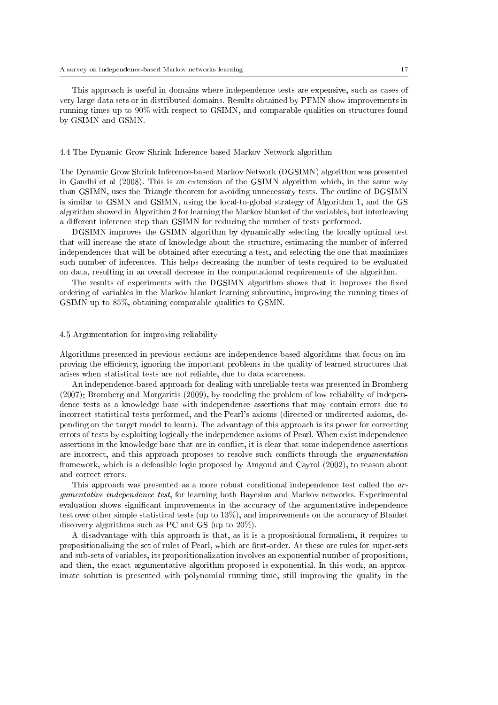This approach is useful in domains where independence tests are expensive, such as cases of very large data sets or in distributed domains. Results obtained by PFMN show improvements in running times up to 90% with respect to GSIMN, and comparable qualities on structures found by GSIMN and GSMN.

#### 4.4 The Dynamic Grow Shrink Inference-based Markov Network algorithm

The Dynamic Grow Shrink Inference-based Markov Network (DGSIMN) algorithm was presented in Gandhi et al (2008). This is an extension of the GSIMN algorithm which, in the same way than GSIMN, uses the Triangle theorem for avoiding unnecessary tests. The outline of DGSIMN is similar to GSMN and GSIMN, using the local-to-global strategy of Algorithm 1, and the GS algorithm showed in Algorithm 2 for learning the Markov blanket of the variables, but interleaving a different inference step than GSIMN for reducing the number of tests performed.

DGSIMN improves the GSIMN algorithm by dynamically selecting the locally optimal test that will increase the state of knowledge about the structure, estimating the number of inferred independences that will be obtained after executing a test, and selecting the one that maximizes such number of inferences. This helps decreasing the number of tests required to be evaluated on data, resulting in an overall decrease in the computational requirements of the algorithm.

The results of experiments with the DGSIMN algorithm shows that it improves the fixed ordering of variables in the Markov blanket learning subroutine, improving the running times of GSIMN up to 85%, obtaining comparable qualities to GSMN.

#### 4.5 Argumentation for improving reliability

Algorithms presented in previous sections are independence-based algorithms that focus on improving the efficiency, ignoring the important problems in the quality of learned structures that arises when statistical tests are not reliable, due to data scarceness.

An independence-based approach for dealing with unreliable tests was presented in Bromberg (2007); Bromberg and Margaritis (2009), by modeling the problem of low reliability of independence tests as a knowledge base with independence assertions that may contain errors due to incorrect statistical tests performed, and the Pearl's axioms (directed or undirected axioms, depending on the target model to learn). The advantage of this approach is its power for correcting errors of tests by exploiting logically the independence axioms of Pearl. When exist independence assertions in the knowledge base that are in conflict, it is clear that some independence assertions are incorrect, and this approach proposes to resolve such conflicts through the *argumentation* framework, which is a defeasible logic proposed by Amgoud and Cayrol (2002), to reason about and correct errors.

This approach was presented as a more robust conditional independence test called the argumentative independence test, for learning both Bayesian and Markov networks. Experimental evaluation shows signicant improvements in the accuracy of the argumentative independence test over other simple statistical tests (up to 13%), and improvements on the accuracy of Blanket discovery algorithms such as PC and GS (up to 20%).

A disadvantage with this approach is that, as it is a propositional formalism, it requires to propositionalizing the set of rules of Pearl, which are first-order. As these are rules for super-sets and sub-sets of variables, its propositionalization involves an exponential number of propositions, and then, the exact argumentative algorithm proposed is exponential. In this work, an approximate solution is presented with polynomial running time, still improving the quality in the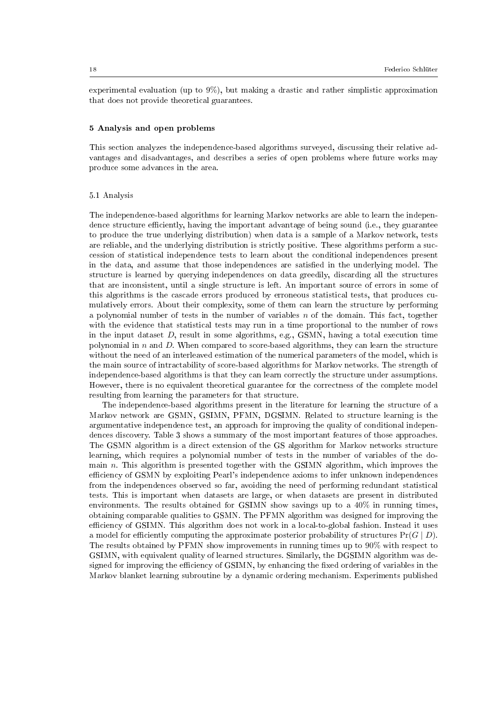experimental evaluation (up to 9%), but making a drastic and rather simplistic approximation that does not provide theoretical guarantees.

#### 5 Analysis and open problems

This section analyzes the independence-based algorithms surveyed, discussing their relative advantages and disadvantages, and describes a series of open problems where future works may produce some advances in the area.

#### 5.1 Analysis

The independence-based algorithms for learning Markov networks are able to learn the independence structure efficiently, having the important advantage of being sound (i.e., they guarantee to produce the true underlying distribution) when data is a sample of a Markov network, tests are reliable, and the underlying distribution is strictly positive. These algorithms perform a succession of statistical independence tests to learn about the conditional independences present in the data, and assume that those independences are satised in the underlying model. The structure is learned by querying independences on data greedily, discarding all the structures that are inconsistent, until a single structure is left. An important source of errors in some of this algorithms is the cascade errors produced by erroneous statistical tests, that produces cumulatively errors. About their complexity, some of them can learn the structure by performing a polynomial number of tests in the number of variables *n* of the domain. This fact, together with the evidence that statistical tests may run in a time proportional to the number of rows in the input dataset  $D$ , result in some algorithms, e.g., GSMN, having a total execution time polynomial in *n* and *D*. When compared to score-based algorithms, they can learn the structure without the need of an interleaved estimation of the numerical parameters of the model, which is the main source of intractability of score-based algorithms for Markov networks. The strength of independence-based algorithms is that they can learn correctly the structure under assumptions. However, there is no equivalent theoretical guarantee for the correctness of the complete model resulting from learning the parameters for that structure.

The independence-based algorithms present in the literature for learning the structure of a Markov network are GSMN, GSIMN, PFMN, DGSIMN. Related to structure learning is the argumentative independence test, an approach for improving the quality of conditional independences discovery. Table 3 shows a summary of the most important features of those approaches. The GSMN algorithm is a direct extension of the GS algorithm for Markov networks structure learning, which requires a polynomial number of tests in the number of variables of the domain *n*. This algorithm is presented together with the GSIMN algorithm, which improves the efficiency of GSMN by exploiting Pearl's independence axioms to infer unknown independences from the independences observed so far, avoiding the need of performing redundant statistical tests. This is important when datasets are large, or when datasets are present in distributed environments. The results obtained for GSIMN show savings up to a 40% in running times, obtaining comparable qualities to GSMN. The PFMN algorithm was designed for improving the efficiency of GSIMN. This algorithm does not work in a local-to-global fashion. Instead it uses a model for efficiently computing the approximate posterior probability of structures  $Pr(G | D)$ . The results obtained by PFMN show improvements in running times up to 90% with respect to GSIMN, with equivalent quality of learned structures. Similarly, the DGSIMN algorithm was designed for improving the efficiency of GSIMN, by enhancing the fixed ordering of variables in the Markov blanket learning subroutine by a dynamic ordering mechanism. Experiments published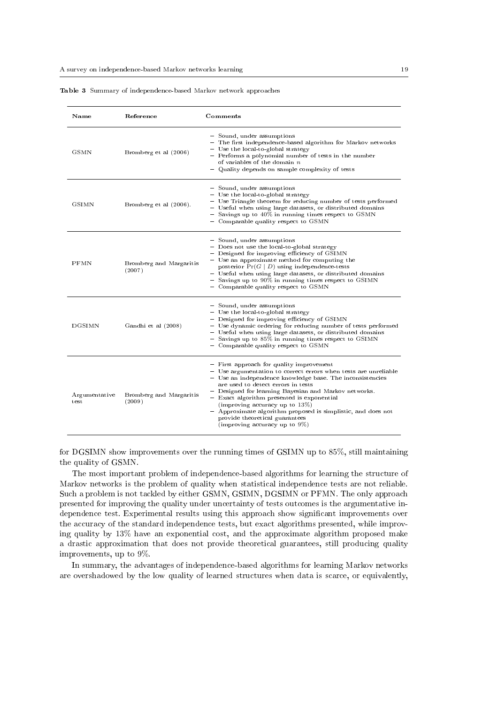| Name                  | Reference                         | Comments                                                                                                                                                                                                                                                                                                                                                                                                                                                                                             |
|-----------------------|-----------------------------------|------------------------------------------------------------------------------------------------------------------------------------------------------------------------------------------------------------------------------------------------------------------------------------------------------------------------------------------------------------------------------------------------------------------------------------------------------------------------------------------------------|
| GSMN                  | Bromberg et al (2006)             | - Sound, under assumptions<br>- The first independence-based algorithm for Markov networks<br>- Use the local-to-global strategy<br>- Performs a polynomial number of tests in the number<br>of variables of the domain $n$<br>- Quality depends on sample complexity of tests                                                                                                                                                                                                                       |
| <b>GSIMN</b>          | Bromberg et al (2006).            | - Sound, under assumptions<br>- Use the local-to-global strategy<br>- Use Triangle theorem for reducing number of tests performed<br>- Useful when using large datasets, or distributed domains<br>- Savings up to 40% in running times respect to GSMN<br>- Comparable quality respect to GSMN                                                                                                                                                                                                      |
| <b>PFMN</b>           | Bromberg and Margaritis<br>(2007) | - Sound, under assumptions<br>- Does not use the local-to-global strategy<br>- Designed for improving efficiency of GSIMN<br>- Use an approximate method for computing the<br>posterior $Pr(G   D)$ using independence-tests<br>- Useful when using large datasets, or distributed domains<br>- Savings up to 90% in running times respect to GSIMN<br>- Comparable quality respect to GSMN                                                                                                          |
| <b>DGSIMN</b>         | Gandhi et al (2008)               | - Sound, under assumptions<br>- Use the local-to-global strategy<br>- Designed for improving efficiency of GSIMN<br>- Use dynamic ordering for reducing number of tests performed<br>- Useful when using large datasets, or distributed domains<br>- Savings up to 85% in running times respect to GSIMN<br>- Comparable quality respect to GSMN                                                                                                                                                     |
| Argumentative<br>test | Bromberg and Margaritis<br>(2009) | - First approach for quality improvement<br>- Use argumentation to correct errors when tests are unreliable<br>- Use an independence knowledge base. The inconsistencies<br>are used to detect errors in tests<br>- Designed for learning Bayesian and Markov networks.<br>$-$ Exact algorithm presented is exponential<br>(improving accuracy up to $13\%$ )<br>- Approximate algorithm proposed is simplistic, and does not<br>provide theoretical guarantees<br>(improving accuracy up to $9\%$ ) |

|  |  |  | Table 3 Summary of independence-based Markov network approaches |  |
|--|--|--|-----------------------------------------------------------------|--|
|--|--|--|-----------------------------------------------------------------|--|

for DGSIMN show improvements over the running times of GSIMN up to 85%, still maintaining the quality of GSMN.

The most important problem of independence-based algorithms for learning the structure of Markov networks is the problem of quality when statistical independence tests are not reliable. Such a problem is not tackled by either GSMN, GSIMN, DGSIMN or PFMN. The only approach presented for improving the quality under uncertainty of tests outcomes is the argumentative independence test. Experimental results using this approach show signicant improvements over the accuracy of the standard independence tests, but exact algorithms presented, while improving quality by 13% have an exponential cost, and the approximate algorithm proposed make a drastic approximation that does not provide theoretical guarantees, still producing quality improvements, up to 9%.

In summary, the advantages of independence-based algorithms for learning Markov networks are overshadowed by the low quality of learned structures when data is scarce, or equivalently,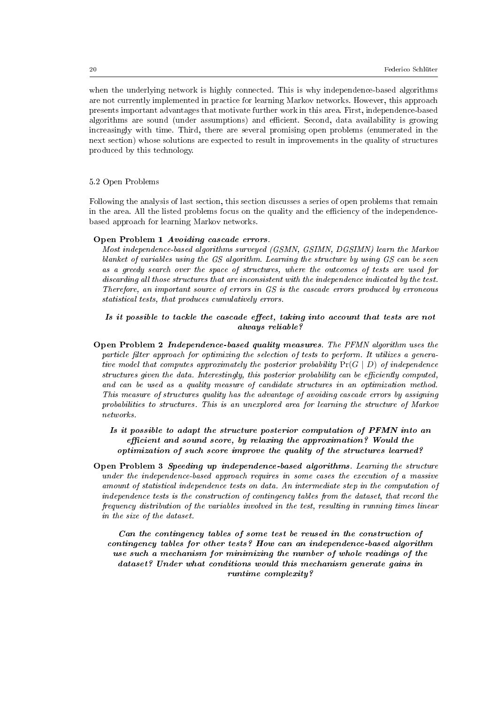when the underlying network is highly connected. This is why independence-based algorithms are not currently implemented in practice for learning Markov networks. However, this approach presents important advantages that motivate further work in this area. First, independence-based algorithms are sound (under assumptions) and efficient. Second, data availability is growing increasingly with time. Third, there are several promising open problems (enumerated in the next section) whose solutions are expected to result in improvements in the quality of structures produced by this technology.

#### 5.2 Open Problems

Following the analysis of last section, this section discusses a series of open problems that remain in the area. All the listed problems focus on the quality and the efficiency of the independencebased approach for learning Markov networks.

#### Open Problem 1 Avoiding cascade errors.

Most independence-based algorithms surveyed (GSMN, GSIMN, DGSIMN) learn the Markov blanket of variables using the GS algorithm. Learning the structure by using GS can be seen as a greedy search over the space of structures, where the outcomes of tests are used for discarding all those structures that are inconsistent with the independence indicated by the test. Therefore, an important source of errors in GS is the cascade errors produced by erroneous statistical tests, that produces cumulatively errors.

## Is it possible to tackle the cascade effect, taking into account that tests are not always reliable?

Open Problem 2 Independence-based quality measures. The PFMN algorithm uses the particle filter approach for optimizing the selection of tests to perform. It utilizes a generative model that computes approximately the posterior probability  $Pr(G | D)$  of independence  $structures$  given the data. Interestingly, this posterior probability can be efficiently computed, and can be used as a quality measure of candidate structures in an optimization method. This measure of structures quality has the advantage of avoiding cascade errors by assigning probabilities to structures. This is an unexplored area for learning the structure of Markov networks.

Is it possible to adapt the structure posterior computation of PFMN into an  $efficient$  and sound score, by relaxing the approximation? Would the optimization of such score improve the quality of the structures learned?

Open Problem 3 Speeding up independence-based algorithms. Learning the structure under the independence-based approach requires in some cases the execution of a massive amount of statistical independence tests on data. An intermediate step in the computation of independence tests is the construction of contingency tables from the dataset, that record the frequency distribution of the variables involved in the test, resulting in running times linear in the size of the dataset.

Can the contingency tables of some test be reused in the construction of contingency tables for other tests? How can an independence-based algorithm use such a mechanism for minimizing the number of whole readings of the dataset? Under what conditions would this mechanism generate gains in runtime complexity?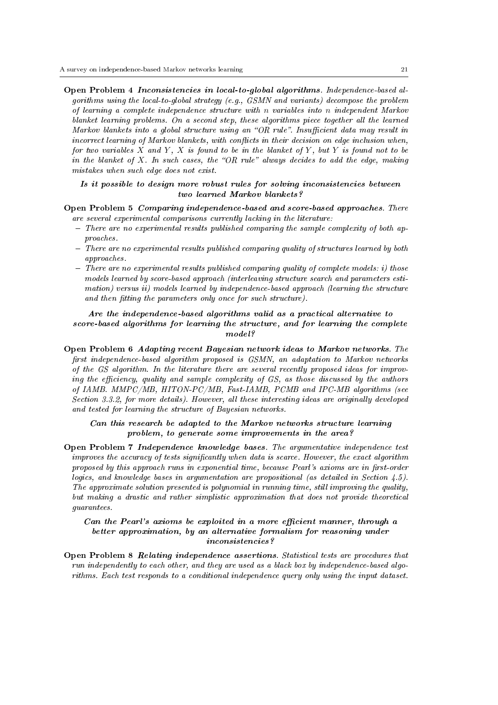Open Problem 4 Inconsistencies in local-to-global algorithms. Independence-based algorithms using the local-to-global strategy (e.g., GSMN and variants) decompose the problem of learning a complete independence structure with *n* variables into *n* independent Markov blanket learning problems. On a second step, these algorithms piece together all the learned Markov blankets into a global structure using an "OR rule". Insufficient data may result in incorrect learning of Markov blankets, with conflicts in their decision on edge inclusion when, for two variables *X* and *Y* , *X* is found to be in the blanket of *Y* , but *Y* is found not to be in the blanket of  $X$ . In such cases, the "OR rule" always decides to add the edge, making mistakes when such edge does not exist.

## Is it possible to design more robust rules for solving inconsistencies between two learned Markov blankets?

## Open Problem 5 Comparing independence-based and score-based approaches. There are several experimental comparisons currently lacking in the literature:

- $-$  There are no experimental results published comparing the sample complexity of both approaches.
- $-$  There are no experimental results published comparing quality of structures learned by both approaches.
- $-$  There are no experimental results published comparing quality of complete models: i) those models learned by score-based approach (interleaving structure search and parameters estimation) versus ii) models learned by independence-based approach (learning the structure and then fitting the parameters only once for such structure).

## Are the independence-based algorithms valid as a practical alternative to score-based algorithms for learning the structure, and for learning the complete model?

Open Problem 6 Adapting recent Bayesian network ideas to Markov networks. The first independence-based algorithm proposed is GSMN, an adaptation to Markov networks of the GS algorithm. In the literature there are several recently proposed ideas for improving the efficiency, quality and sample complexity of  $GS$ , as those discussed by the authors of IAMB. MMPC/MB, HITON-PC/MB, Fast-IAMB, PCMB and IPC-MB algorithms (see Section 3.3.2, for more details). However, all these interesting ideas are originally developed and tested for learning the structure of Bayesian networks.

## Can this research be adapted to the Markov networks structure learning problem, to generate some improvements in the area?

Open Problem 7 Independence knowledge bases. The argumentative independence test improves the accuracy of tests significantly when data is scarce. However, the exact algorithm proposed by this approach runs in exponential time, because Pearl's axioms are in first-order logics, and knowledge bases in argumentation are propositional (as detailed in Section 4.5). The approximate solution presented is polynomial in running time, still improving the quality, but making a drastic and rather simplistic approximation that does not provide theoretical guarantees.

## $Can$  the Pearl's axioms be exploited in a more efficient manner, through a better approximation, by an alternative formalism for reasoning under inconsistencies?

Open Problem 8 Relating independence assertions. Statistical tests are procedures that run independently to each other, and they are used as a black box by independence-based algorithms. Each test responds to a conditional independence query only using the input dataset.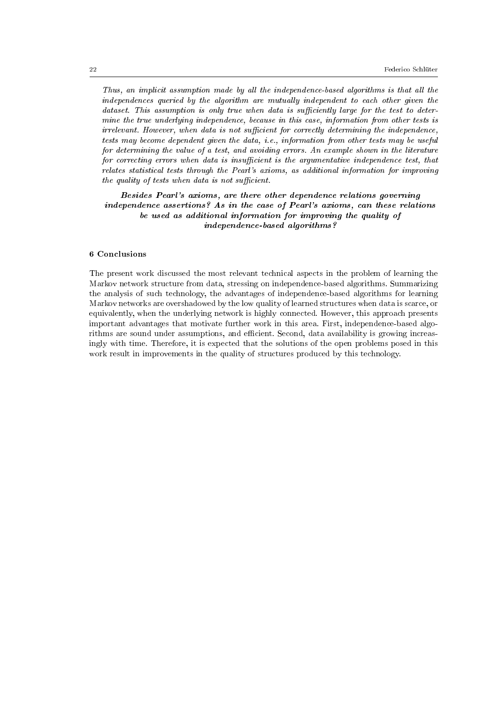Thus, an implicit assumption made by all the independence-based algorithms is that all the independences queried by the algorithm are mutually independent to each other given the  $dataset$ . This assumption is only true when data is sufficiently large for the test to determine the true underlying independence, because in this case, information from other tests is  $irrelevant.$  However, when data is not sufficient for correctly determining the independence, tests may become dependent given the data, i.e., information from other tests may be useful for determining the value of a test, and avoiding errors. An example shown in the literature for correcting errors when data is insufficient is the argumentative independence test, that relates statistical tests through the Pearl's axioms, as additional information for improving the quality of tests when data is not sufficient.

Besides Pearl's axioms, are there other dependence relations governing independence assertions? As in the case of Pearl's axioms, can these relations be used as additional information for improving the quality of independence-based algorithms?

## 6 Conclusions

The present work discussed the most relevant technical aspects in the problem of learning the Markov network structure from data, stressing on independence-based algorithms. Summarizing the analysis of such technology, the advantages of independence-based algorithms for learning Markov networks are overshadowed by the low quality of learned structures when data is scarce, or equivalently, when the underlying network is highly connected. However, this approach presents important advantages that motivate further work in this area. First, independence-based algorithms are sound under assumptions, and efficient. Second, data availability is growing increasingly with time. Therefore, it is expected that the solutions of the open problems posed in this work result in improvements in the quality of structures produced by this technology.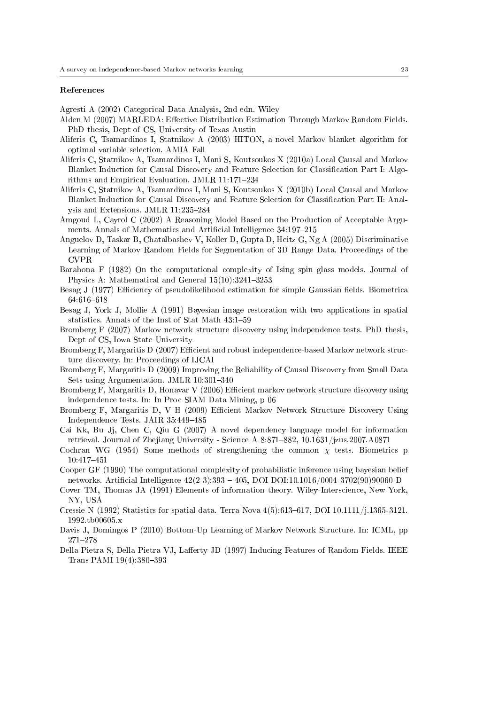#### References

Agresti A (2002) Categorical Data Analysis, 2nd edn. Wiley

- Alden M (2007) MARLEDA: Effective Distribution Estimation Through Markov Random Fields. PhD thesis, Dept of CS, University of Texas Austin
- Aliferis C, Tsamardinos I, Statnikov A (2003) HITON, a novel Markov blanket algorithm for optimal variable selection. AMIA Fall
- Aliferis C, Statnikov A, Tsamardinos I, Mani S, Koutsoukos X (2010a) Local Causal and Markov Blanket Induction for Causal Discovery and Feature Selection for Classification Part I: Algorithms and Empirical Evaluation. JMLR  $11:171-234$
- Aliferis C, Statnikov A, Tsamardinos I, Mani S, Koutsoukos X (2010b) Local Causal and Markov Blanket Induction for Causal Discovery and Feature Selection for Classication Part II: Analysis and Extensions. JMLR 11:235-284
- Amgoud L, Cayrol C (2002) A Reasoning Model Based on the Production of Acceptable Arguments. Annals of Mathematics and Artificial Intelligence 34:197-215
- Anguelov D, Taskar B, Chatalbashev V, Koller D, Gupta D, Heitz G, Ng A (2005) Discriminative Learning of Markov Random Fields for Segmentation of 3D Range Data. Proceedings of the CVPR
- Barahona F (1982) On the computational complexity of Ising spin glass models. Journal of Physics A: Mathematical and General  $15(10):3241-3253$
- Besag J (1977) Efficiency of pseudolikelihood estimation for simple Gaussian fields. Biometrica 64:616-618
- Besag J, York J, Mollie A (1991) Bayesian image restoration with two applications in spatial statistics. Annals of the Inst of Stat Math 43:1-59
- Bromberg F (2007) Markov network structure discovery using independence tests. PhD thesis, Dept of CS, Iowa State University
- Bromberg F, Margaritis D (2007) Efficient and robust independence-based Markov network structure discovery. In: Proceedings of IJCAI
- Bromberg F, Margaritis D (2009) Improving the Reliability of Causal Discovery from Small Data Sets using Argumentation. JMLR 10:301-340
- Bromberg F, Margaritis D, Honavar V (2006) Efficient markov network structure discovery using independence tests. In: In Proc SIAM Data Mining, p 06
- Bromberg F, Margaritis D, V H (2009) Efficient Markov Network Structure Discovery Using Independence Tests. JAIR 35:449-485
- Cai Kk, Bu Jj, Chen C, Qiu G (2007) A novel dependency language model for information retrieval. Journal of Zhejiang University - Science A 8:871-882, 10.1631/jzus.2007.A0871
- Cochran WG (1954) Some methods of strengthening the common  $\chi$  tests. Biometrics p 10:417451
- Cooper GF (1990) The computational complexity of probabilistic inference using bayesian belief networks. Artificial Intelligence  $42(2-3):393 - 405$ , DOI DOI:10.1016/0004-3702(90)90060-D
- Cover TM, Thomas JA (1991) Elements of information theory. Wiley-Interscience, New York, NY, USA
- Cressie N (1992) Statistics for spatial data. Terra Nova  $4(5):613-617$ , DOI 10.1111/j.1365-3121. 1992.tb00605.x
- Davis J, Domingos P (2010) Bottom-Up Learning of Markov Network Structure. In: ICML, pp 271278
- Della Pietra S, Della Pietra VJ, Lafferty JD (1997) Inducing Features of Random Fields. IEEE Trans PAMI  $19(4)$ : 380-393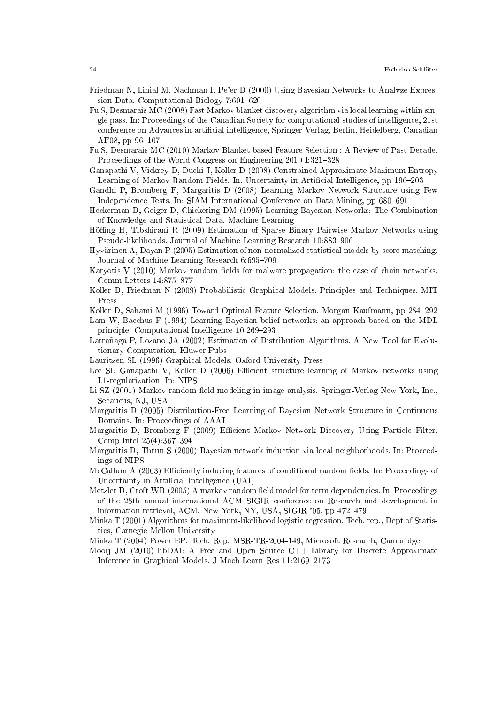- Friedman N, Linial M, Nachman I, Pe'er D (2000) Using Bayesian Networks to Analyze Expression Data. Computational Biology  $7:601-620$
- Fu S, Desmarais MC (2008) Fast Markov blanket discovery algorithm via local learning within single pass. In: Proceedings of the Canadian Society for computational studies of intelligence, 21st conference on Advances in articial intelligence, Springer-Verlag, Berlin, Heidelberg, Canadian AI'08, pp 96-107
- Fu S, Desmarais MC (2010) Markov Blanket based Feature Selection : A Review of Past Decade. Proceedings of the World Congress on Engineering 2010 I:321-328
- Ganapathi V, Vickrey D, Duchi J, Koller D (2008) Constrained Approximate Maximum Entropy Learning of Markov Random Fields. In: Uncertainty in Artificial Intelligence, pp 196–203
- Gandhi P, Bromberg F, Margaritis D (2008) Learning Markov Network Structure using Few Independence Tests. In: SIAM International Conference on Data Mining, pp 680–691
- Heckerman D, Geiger D, Chickering DM (1995) Learning Bayesian Networks: The Combination of Knowledge and Statistical Data. Machine Learning
- Höfling H, Tibshirani R (2009) Estimation of Sparse Binary Pairwise Markov Networks using Pseudo-likelihoods. Journal of Machine Learning Research 10:883-906
- Hyvärinen A, Dayan P (2005) Estimation of non-normalized statistical models by score matching. Journal of Machine Learning Research 6:695-709
- Karyotis V (2010) Markov random fields for malware propagation: the case of chain networks. Comm Letters  $14:875-877$
- Koller D, Friedman N (2009) Probabilistic Graphical Models: Principles and Techniques. MIT Press
- Koller D, Sahami M (1996) Toward Optimal Feature Selection. Morgan Kaufmann, pp 284–292
- Lam W, Bacchus F (1994) Learning Bayesian belief networks: an approach based on the MDL principle. Computational Intelligence 10:269-293
- Larrañaga P, Lozano JA (2002) Estimation of Distribution Algorithms. A New Tool for Evolutionary Computation. Kluwer Pubs
- Lauritzen SL (1996) Graphical Models. Oxford University Press
- Lee SI, Ganapathi V, Koller D (2006) Efficient structure learning of Markov networks using L1-regularization. In: NIPS
- Li SZ (2001) Markov random field modeling in image analysis. Springer-Verlag New York, Inc., Secaucus, NJ, USA
- Margaritis D (2005) Distribution-Free Learning of Bayesian Network Structure in Continuous Domains. In: Proceedings of AAAI
- Margaritis D, Bromberg F (2009) Efficient Markov Network Discovery Using Particle Filter. Comp Intel 25(4):367-394
- Margaritis D, Thrun S (2000) Bayesian network induction via local neighborhoods. In: Proceedings of NIPS
- McCallum A (2003) Efficiently inducing features of conditional random fields. In: Proceedings of Uncertainty in Artificial Intelligence (UAI)
- Metzler D, Croft WB (2005) A markov random field model for term dependencies. In: Proceedings of the 28th annual international ACM SIGIR conference on Research and development in information retrieval, ACM, New York, NY, USA, SIGIR '05, pp 472-479
- Minka T (2001) Algorithms for maximum-likelihood logistic regression. Tech. rep., Dept of Statistics, Carnegie Mellon University
- Minka T (2004) Power EP. Tech. Rep. MSR-TR-2004-149, Microsoft Research, Cambridge
- Mooij JM (2010) libDAI: A Free and Open Source  $C_{++}$  Library for Discrete Approximate Inference in Graphical Models. J Mach Learn Res  $11:2169-2173$